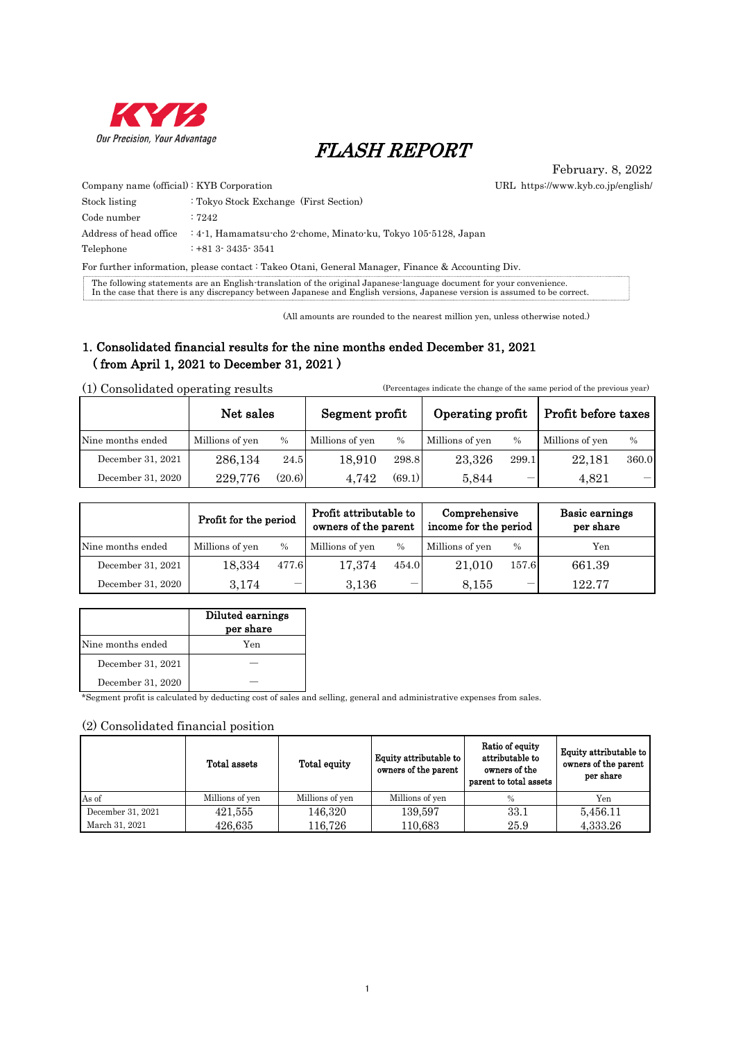

# FLASH REPORT

February. 8, 2022 URL https://www.kyb.co.jp/english/

| Company name (official): KYB Corporation |                                                                                       |
|------------------------------------------|---------------------------------------------------------------------------------------|
| Stock listing                            | : Tokyo Stock Exchange (First Section)                                                |
| Code number                              | :7242                                                                                 |
|                                          | Address of head office : 4-1, Hamamatsu cho 2-chome, Minato ku, Tokyo 105-5128, Japan |
| Telephone                                | $: +813.3435.3541$                                                                    |

For further information, please contact : Takeo Otani, General Manager, Finance & Accounting Div.

The following statements are an English-translation of the original Japanese-language document for your convenience.<br>In the case that there is any discrepancy between Japanese and English versions, Japanese version is assu

(All amounts are rounded to the nearest million yen, unless otherwise noted.)

## 1. Consolidated financial results for the nine months ended December 31, 2021 ( from April 1, 2021 to December 31, 2021 )

(1) Consolidated operating results (Percentages indicate the change of the same period of the previous year)

|                   | Net sales       |               | Segment profit  |        | Operating profit |               | Profit before taxes |       |
|-------------------|-----------------|---------------|-----------------|--------|------------------|---------------|---------------------|-------|
| Nine months ended | Millions of yen | $\frac{0}{0}$ | Millions of yen | $\%$   | Millions of yen  | $\frac{0}{0}$ | Millions of yen     | $\%$  |
| December 31, 2021 | 286.134         | 24.5          | 18.910          | 298.8  | 23.326           | 299.1         | 22.181              | 360.0 |
| December 31, 2020 | 229.776         | (20.6)        | 4.742           | (69.1) | 5.844            | –             | 4.821               |       |

|                   | Profit for the period |               | Profit attributable to<br>owners of the parent |                          | Comprehensive<br>income for the period |               | Basic earnings<br>per share |  |
|-------------------|-----------------------|---------------|------------------------------------------------|--------------------------|----------------------------------------|---------------|-----------------------------|--|
| Nine months ended | Millions of yen       | $\frac{0}{0}$ | Millions of yen                                | $\frac{0}{0}$            | Millions of yen                        | $\frac{0}{0}$ | Yen                         |  |
| December 31, 2021 | 18.334                | 477.6         | 17.374                                         | 454.0                    | 21.010                                 | 157.6         | 661.39                      |  |
| December 31, 2020 | 3.174                 |               | 3.136                                          | $\overline{\phantom{a}}$ | 8.155                                  |               | 122.77                      |  |

|                   | Diluted earnings<br>per share |
|-------------------|-------------------------------|
| Nine months ended | Yen                           |
| December 31, 2021 |                               |
| December 31, 2020 |                               |

\*Segment profit is calculated by deducting cost of sales and selling, general and administrative expenses from sales.

### (2) Consolidated financial position

|                   | Total assets    | Total equity    | Equity attributable to<br>owners of the parent | Ratio of equity<br>attributable to<br>owners of the<br>parent to total assets | Equity attributable to<br>owners of the parent<br>per share |
|-------------------|-----------------|-----------------|------------------------------------------------|-------------------------------------------------------------------------------|-------------------------------------------------------------|
| As of             | Millions of yen | Millions of yen | Millions of yen                                | $\frac{0}{0}$                                                                 | Yen                                                         |
| December 31, 2021 | 421,555         | 146,320         | 139,597                                        | 33.1                                                                          | 5,456.11                                                    |
| March 31, 2021    | 426.635         | 116,726         | 110.683                                        | 25.9                                                                          | 4,333.26                                                    |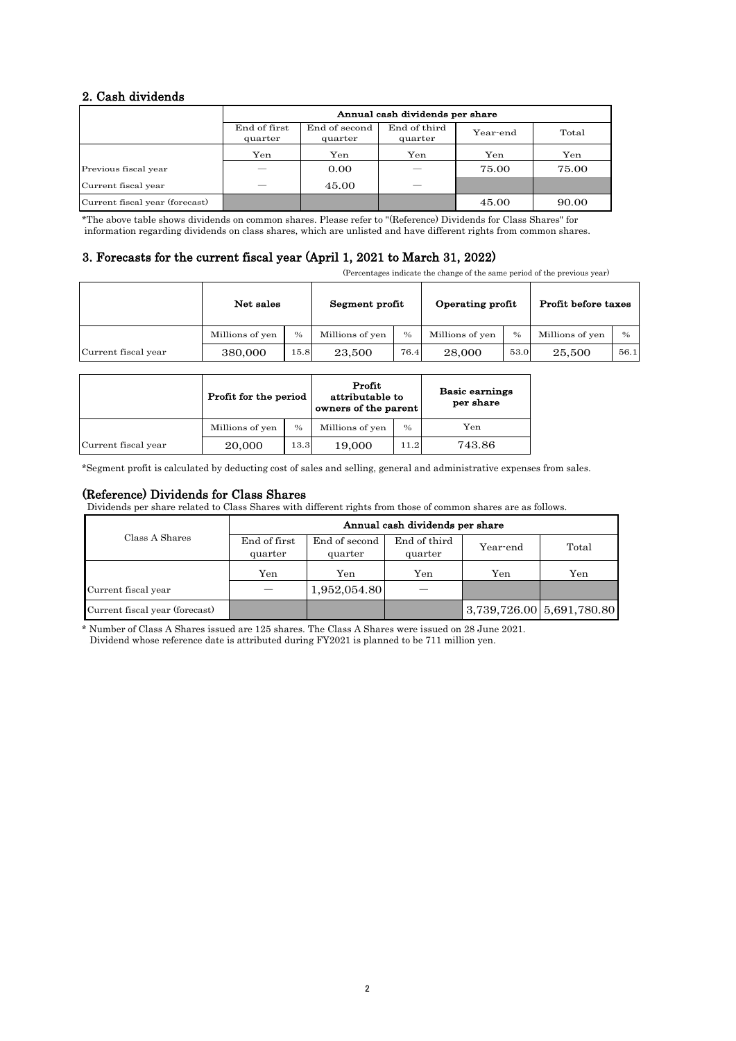## 2. Cash dividends

|                                |                         | Annual cash dividends per share |                         |          |       |  |  |  |
|--------------------------------|-------------------------|---------------------------------|-------------------------|----------|-------|--|--|--|
|                                | End of first<br>quarter | End of second<br>quarter        | End of third<br>quarter | Year-end | Total |  |  |  |
|                                | Yen                     | Yen                             | Yen                     | Yen      | Yen   |  |  |  |
| Previous fiscal year           |                         | 0.00                            |                         | 75.00    | 75.00 |  |  |  |
| Current fiscal year            |                         | 45.00                           |                         |          |       |  |  |  |
| Current fiscal year (forecast) |                         |                                 |                         | 45.00    | 90.00 |  |  |  |

\*The above table shows dividends on common shares. Please refer to "(Reference) Dividends for Class Shares" for information regarding dividends on class shares, which are unlisted and have different rights from common shares.

## 3. Forecasts for the current fiscal year (April 1, 2021 to March 31, 2022)

(Percentages indicate the change of the same period of the previous year)

|                     | Net sales       |      | Segment profit  |               | Operating profit |      | Profit before taxes |               |
|---------------------|-----------------|------|-----------------|---------------|------------------|------|---------------------|---------------|
|                     | Millions of yen | $\%$ | Millions of yen | $\frac{0}{0}$ | Millions of yen  | $\%$ | Millions of yen     | $\frac{0}{0}$ |
| Current fiscal year | 380,000         | 15.8 | 23,500          | 76.4          | 28,000           | 53.0 | 25,500              | 56.1          |

|                     | Profit for the period |      | Profit<br>attributable to<br>owners of the parent |               | <b>Basic earnings</b><br>per share |
|---------------------|-----------------------|------|---------------------------------------------------|---------------|------------------------------------|
|                     | Millions of yen       | $\%$ | Millions of yen                                   | $\frac{0}{0}$ | Yen                                |
| Current fiscal year | 20,000                | 13.3 | 19,000                                            | 11.2          | 743.86                             |

\*Segment profit is calculated by deducting cost of sales and selling, general and administrative expenses from sales.

## (Reference) Dividends for Class Shares

Dividends per share related to Class Shares with different rights from those of common shares are as follows.

|                                | Annual cash dividends per share |                          |                         |                                       |       |  |  |  |
|--------------------------------|---------------------------------|--------------------------|-------------------------|---------------------------------------|-------|--|--|--|
| Class A Shares                 | End of first<br>quarter         | End of second<br>quarter | End of third<br>quarter | Year-end                              | Total |  |  |  |
|                                | Yen                             | Yen                      | Yen                     | Yen                                   | Yen   |  |  |  |
| Current fiscal year            |                                 | 1,952,054.80             |                         |                                       |       |  |  |  |
| Current fiscal year (forecast) |                                 |                          |                         | $3,739,726.00 \mid 5,691,780.80 \mid$ |       |  |  |  |

\* Number of Class A Shares issued are 125 shares. The Class A Shares were issued on 28 June 2021. Dividend whose reference date is attributed during FY2021 is planned to be 711 million yen.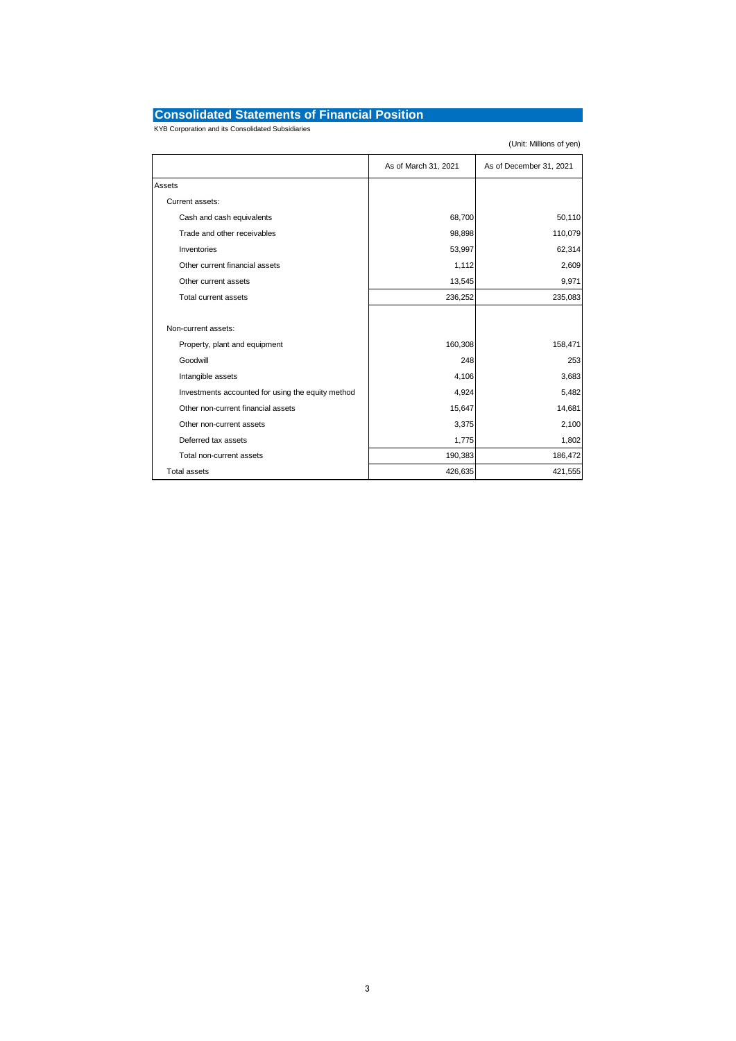## **Consolidated Statements of Financial Position**

KYB Corporation and its Consolidated Subsidiaries

|                                                   | As of March 31, 2021 | As of December 31, 2021 |
|---------------------------------------------------|----------------------|-------------------------|
| Assets                                            |                      |                         |
| Current assets:                                   |                      |                         |
| Cash and cash equivalents                         | 68,700               | 50,110                  |
| Trade and other receivables                       | 98,898               | 110,079                 |
| Inventories                                       | 53,997               | 62,314                  |
| Other current financial assets                    | 1,112                | 2,609                   |
| Other current assets                              | 13,545               | 9,971                   |
| Total current assets                              | 236,252              | 235,083                 |
|                                                   |                      |                         |
| Non-current assets:                               |                      |                         |
| Property, plant and equipment                     | 160,308              | 158,471                 |
| Goodwill                                          | 248                  | 253                     |
| Intangible assets                                 | 4,106                | 3,683                   |
| Investments accounted for using the equity method | 4,924                | 5,482                   |
| Other non-current financial assets                | 15,647               | 14,681                  |
| Other non-current assets                          | 3,375                | 2,100                   |
| Deferred tax assets                               | 1,775                | 1,802                   |
| Total non-current assets                          | 190,383              | 186,472                 |
| <b>Total assets</b>                               | 426,635              | 421,555                 |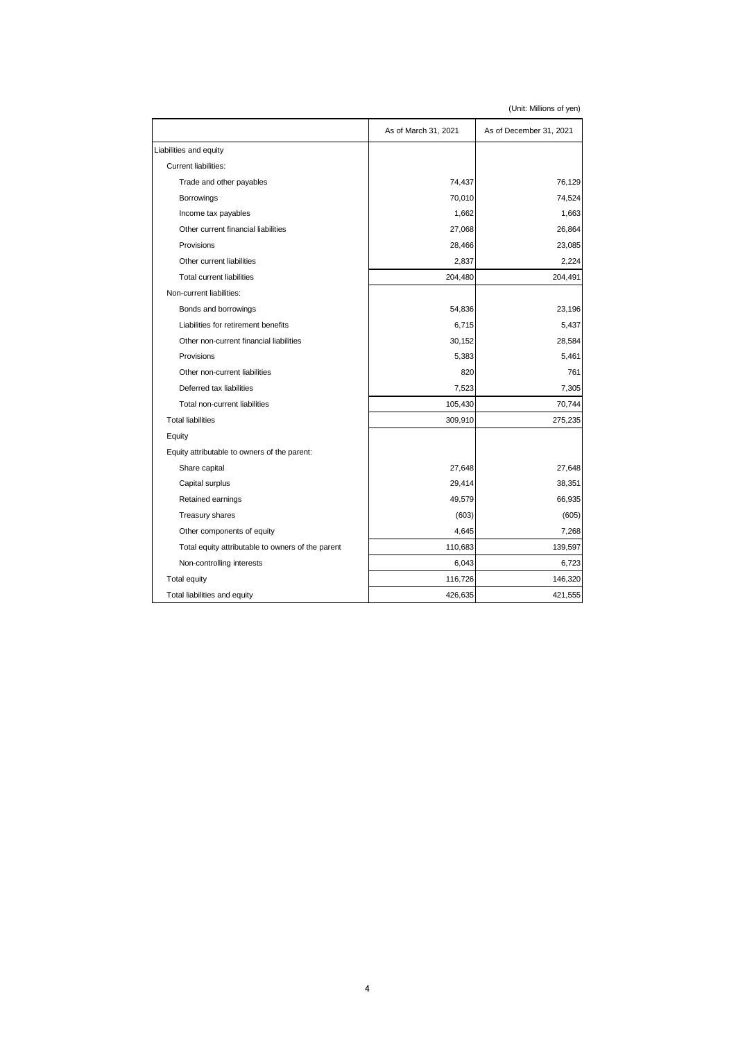|                                                   | As of March 31, 2021 | As of December 31, 2021 |
|---------------------------------------------------|----------------------|-------------------------|
| Liabilities and equity                            |                      |                         |
| Current liabilities:                              |                      |                         |
| Trade and other payables                          | 74,437               | 76,129                  |
| Borrowings                                        | 70,010               | 74,524                  |
| Income tax payables                               | 1,662                | 1,663                   |
| Other current financial liabilities               | 27,068               | 26,864                  |
| Provisions                                        | 28,466               | 23,085                  |
| Other current liabilities                         | 2,837                | 2,224                   |
| <b>Total current liabilities</b>                  | 204,480              | 204,491                 |
| Non-current liabilities:                          |                      |                         |
| Bonds and borrowings                              | 54,836               | 23,196                  |
| Liabilities for retirement benefits               | 6,715                | 5,437                   |
| Other non-current financial liabilities           | 30,152               | 28,584                  |
| Provisions                                        | 5,383                | 5,461                   |
| Other non-current liabilities                     | 820                  | 761                     |
| Deferred tax liabilities                          | 7,523                | 7,305                   |
| Total non-current liabilities                     | 105,430              | 70,744                  |
| <b>Total liabilities</b>                          | 309,910              | 275,235                 |
| Equity                                            |                      |                         |
| Equity attributable to owners of the parent:      |                      |                         |
| Share capital                                     | 27,648               | 27,648                  |
| Capital surplus                                   | 29,414               | 38,351                  |
| Retained earnings                                 | 49,579               | 66,935                  |
| <b>Treasury shares</b>                            | (603)                | (605)                   |
| Other components of equity                        | 4,645                | 7,268                   |
| Total equity attributable to owners of the parent | 110,683              | 139,597                 |
| Non-controlling interests                         | 6,043                | 6,723                   |
| Total equity                                      | 116,726              | 146,320                 |
| Total liabilities and equity                      | 426,635              | 421,555                 |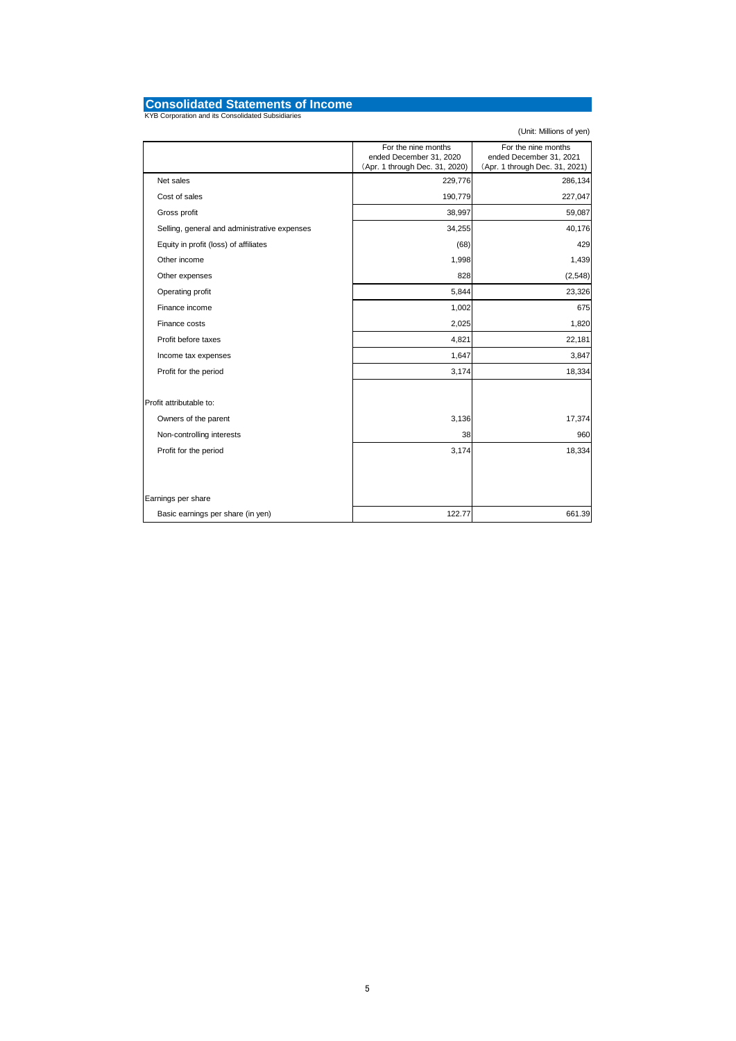# **Consolidated Statements of Income** KYB Corporation and its Consolidated Subsidiaries

|                                              | For the nine months<br>ended December 31, 2020<br>(Apr. 1 through Dec. 31, 2020) | For the nine months<br>ended December 31, 2021<br>(Apr. 1 through Dec. 31, 2021) |
|----------------------------------------------|----------------------------------------------------------------------------------|----------------------------------------------------------------------------------|
| Net sales                                    | 229,776                                                                          | 286,134                                                                          |
| Cost of sales                                | 190,779                                                                          | 227,047                                                                          |
| Gross profit                                 | 38,997                                                                           | 59,087                                                                           |
| Selling, general and administrative expenses | 34,255                                                                           | 40,176                                                                           |
| Equity in profit (loss) of affiliates        | (68)                                                                             | 429                                                                              |
| Other income                                 | 1,998                                                                            | 1,439                                                                            |
| Other expenses                               | 828                                                                              | (2, 548)                                                                         |
| Operating profit                             | 5,844                                                                            | 23,326                                                                           |
| Finance income                               | 1,002                                                                            | 675                                                                              |
| Finance costs                                | 2,025                                                                            | 1,820                                                                            |
| Profit before taxes                          | 4,821                                                                            | 22,181                                                                           |
| Income tax expenses                          | 1,647                                                                            | 3,847                                                                            |
| Profit for the period                        | 3,174                                                                            | 18,334                                                                           |
| Profit attributable to:                      |                                                                                  |                                                                                  |
| Owners of the parent                         | 3,136                                                                            | 17,374                                                                           |
| Non-controlling interests                    | 38                                                                               | 960                                                                              |
| Profit for the period                        | 3,174                                                                            | 18,334                                                                           |
|                                              |                                                                                  |                                                                                  |
| Earnings per share                           |                                                                                  |                                                                                  |
| Basic earnings per share (in yen)            | 122.77                                                                           | 661.39                                                                           |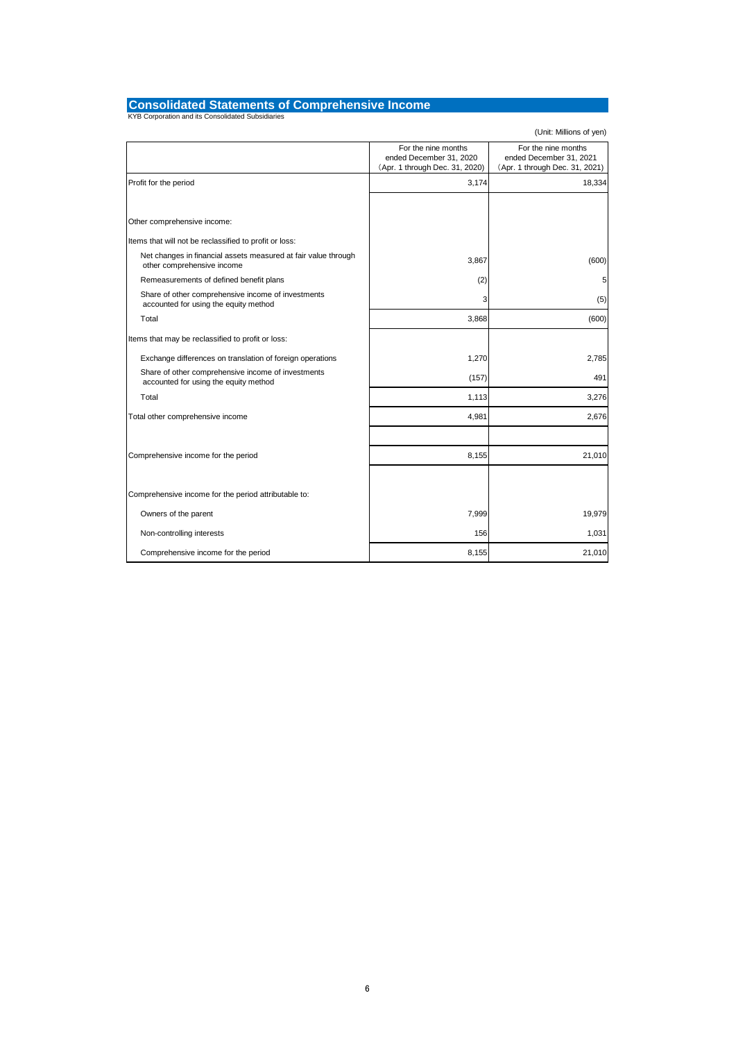# **Consolidated Statements of Comprehensive Income** KYB Corporation and its Consolidated Subsidiaries

|                                                                                              | For the nine months<br>ended December 31, 2020<br>(Apr. 1 through Dec. 31, 2020) | For the nine months<br>ended December 31, 2021<br>(Apr. 1 through Dec. 31, 2021) |
|----------------------------------------------------------------------------------------------|----------------------------------------------------------------------------------|----------------------------------------------------------------------------------|
| Profit for the period                                                                        | 3,174                                                                            | 18,334                                                                           |
|                                                                                              |                                                                                  |                                                                                  |
| Other comprehensive income:                                                                  |                                                                                  |                                                                                  |
| Items that will not be reclassified to profit or loss:                                       |                                                                                  |                                                                                  |
| Net changes in financial assets measured at fair value through<br>other comprehensive income | 3,867                                                                            | (600)                                                                            |
| Remeasurements of defined benefit plans                                                      | (2)                                                                              | 5                                                                                |
| Share of other comprehensive income of investments<br>accounted for using the equity method  | 3                                                                                | (5)                                                                              |
| Total                                                                                        | 3,868                                                                            | (600)                                                                            |
| Items that may be reclassified to profit or loss:                                            |                                                                                  |                                                                                  |
| Exchange differences on translation of foreign operations                                    | 1,270                                                                            | 2,785                                                                            |
| Share of other comprehensive income of investments<br>accounted for using the equity method  | (157)                                                                            | 491                                                                              |
| Total                                                                                        | 1,113                                                                            | 3,276                                                                            |
| Total other comprehensive income                                                             | 4,981                                                                            | 2,676                                                                            |
|                                                                                              |                                                                                  |                                                                                  |
| Comprehensive income for the period                                                          | 8,155                                                                            | 21,010                                                                           |
|                                                                                              |                                                                                  |                                                                                  |
| Comprehensive income for the period attributable to:                                         |                                                                                  |                                                                                  |
| Owners of the parent                                                                         | 7,999                                                                            | 19,979                                                                           |
| Non-controlling interests                                                                    | 156                                                                              | 1,031                                                                            |
| Comprehensive income for the period                                                          | 8,155                                                                            | 21,010                                                                           |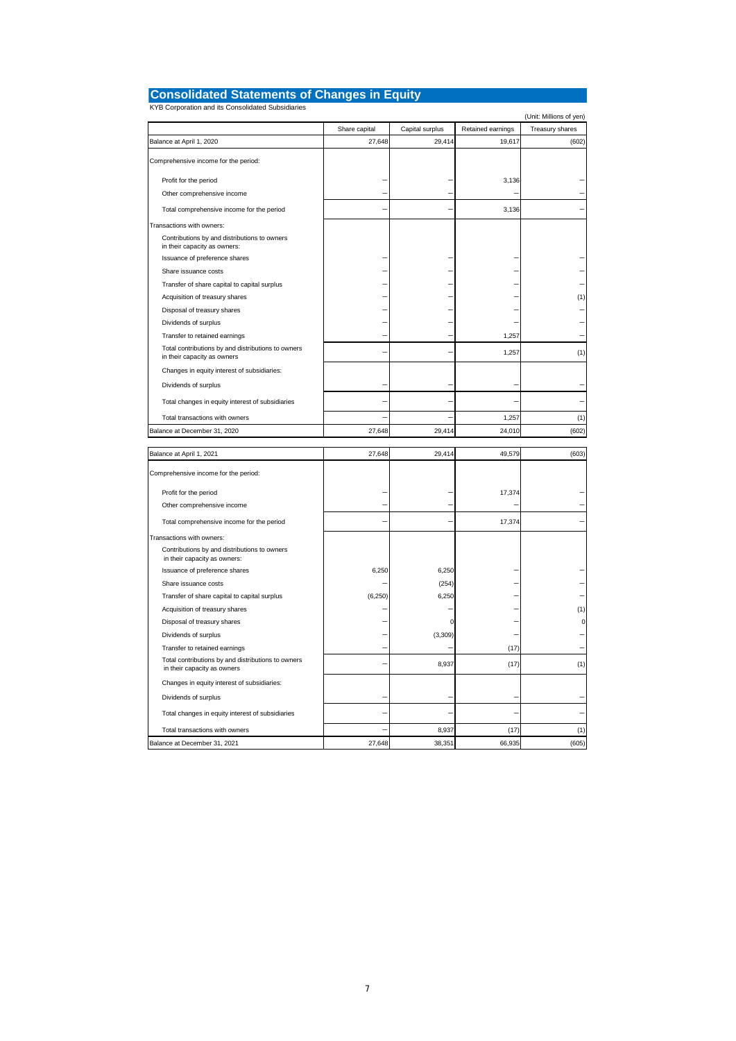| <b>Consolidated Statements of Changes in Equity</b> |  |
|-----------------------------------------------------|--|
| KYB Corporation and its Consolidated Subsidiaries   |  |

|                                                                                   |               |                 |                   | (Unit: Millions of yen) |
|-----------------------------------------------------------------------------------|---------------|-----------------|-------------------|-------------------------|
|                                                                                   | Share capital | Capital surplus | Retained earnings | Treasury shares         |
| Balance at April 1, 2020                                                          | 27,648        | 29,414          | 19,617            | (602)                   |
| Comprehensive income for the period:                                              |               |                 |                   |                         |
| Profit for the period                                                             |               |                 | 3,136             |                         |
| Other comprehensive income                                                        |               |                 |                   |                         |
| Total comprehensive income for the period                                         |               |                 | 3,136             |                         |
| Transactions with owners:                                                         |               |                 |                   |                         |
| Contributions by and distributions to owners<br>in their capacity as owners:      |               |                 |                   |                         |
| Issuance of preference shares                                                     |               |                 |                   |                         |
| Share issuance costs                                                              |               |                 |                   |                         |
| Transfer of share capital to capital surplus                                      |               |                 |                   |                         |
| Acquisition of treasury shares                                                    |               |                 |                   | (1)                     |
| Disposal of treasury shares                                                       |               |                 |                   |                         |
| Dividends of surplus                                                              |               |                 |                   |                         |
| Transfer to retained earnings                                                     |               |                 | 1,257             |                         |
| Total contributions by and distributions to owners<br>in their capacity as owners |               |                 | 1,257             | (1)                     |
| Changes in equity interest of subsidiaries:                                       |               |                 |                   |                         |
| Dividends of surplus                                                              |               |                 |                   |                         |
| Total changes in equity interest of subsidiaries                                  |               |                 |                   |                         |
| Total transactions with owners                                                    |               |                 | 1,257             | (1)                     |
| Balance at December 31, 2020                                                      | 27,648        | 29,414          | 24,010            | (602)                   |
| Balance at April 1, 2021                                                          | 27,648        | 29,414          | 49,579            | (603)                   |
|                                                                                   |               |                 |                   |                         |
| Comprehensive income for the period:                                              |               |                 |                   |                         |
| Profit for the period                                                             |               |                 | 17,374            |                         |
| Other comprehensive income                                                        |               |                 |                   |                         |
| Total comprehensive income for the period                                         |               |                 | 17,374            |                         |
| Transactions with owners:                                                         |               |                 |                   |                         |
| Contributions by and distributions to owners<br>in their capacity as owners:      |               |                 |                   |                         |
| Issuance of preference shares                                                     | 6,250         | 6,250           |                   |                         |
| Share issuance costs                                                              |               | (254)           |                   |                         |
| Transfer of share capital to capital surplus                                      | (6, 250)      | 6,250           |                   |                         |
| Acquisition of treasury shares                                                    |               |                 |                   | (1)                     |
| Disposal of treasury shares                                                       |               | C               |                   | O                       |
| Dividends of surplus                                                              |               | (3, 309)        |                   |                         |
| Transfer to retained earnings                                                     |               |                 | (17)              |                         |
| Total contributions by and distributions to owners<br>in their capacity as owners |               | 8,937           | (17)              | (1)                     |
| Changes in equity interest of subsidiaries:                                       |               |                 |                   |                         |
| Dividends of surplus                                                              |               |                 |                   |                         |
| Total changes in equity interest of subsidiaries                                  |               |                 |                   |                         |
| Total transactions with owners                                                    |               | 8,937           | (17)              | (1)                     |
| Balance at December 31, 2021                                                      | 27,648        | 38,351          | 66,935            | (605)                   |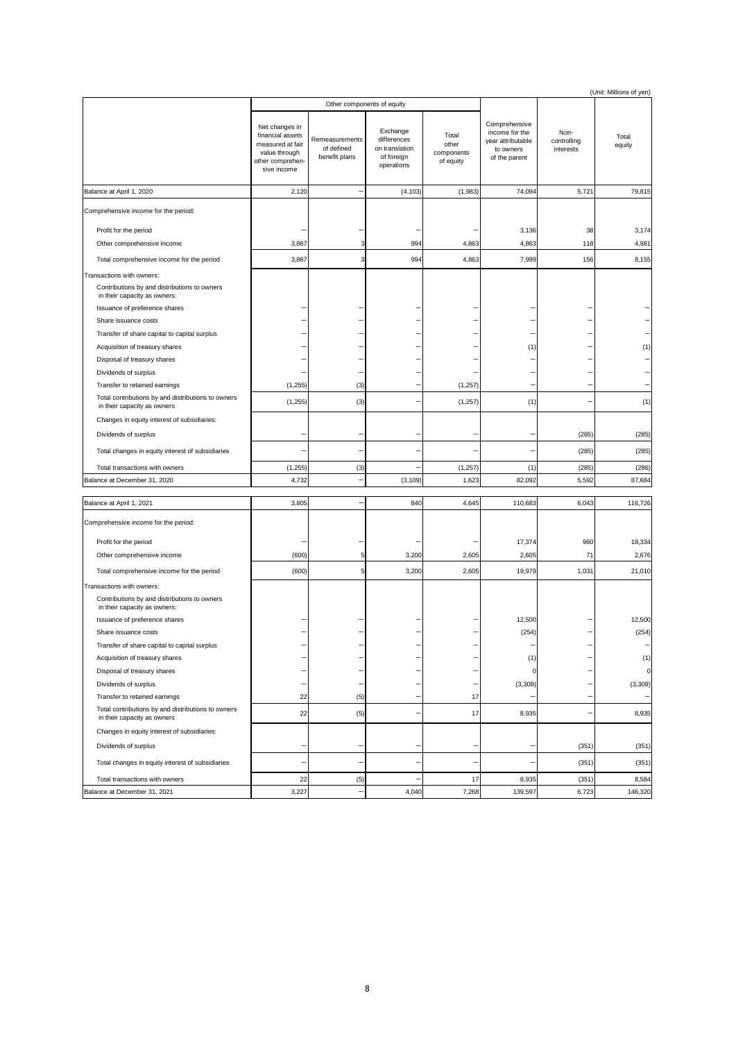|                                                                                                                                            |                                                                                                            |                                               |                                                                       |                                           |                                                                                    |                                  | (Unit: Millions of yen) |  |
|--------------------------------------------------------------------------------------------------------------------------------------------|------------------------------------------------------------------------------------------------------------|-----------------------------------------------|-----------------------------------------------------------------------|-------------------------------------------|------------------------------------------------------------------------------------|----------------------------------|-------------------------|--|
|                                                                                                                                            |                                                                                                            |                                               | Other components of equity                                            |                                           |                                                                                    |                                  |                         |  |
|                                                                                                                                            | Net changes in<br>financial assets<br>measured at fair<br>value through<br>other comprehen-<br>sive income | Remeasurements<br>of defined<br>benefit plans | Exchange<br>differences<br>on translation<br>of foreign<br>operations | Total<br>other<br>components<br>of equity | Comprehensive<br>income for the<br>year attributable<br>to owners<br>of the parent | Non-<br>controlling<br>interests | Total<br>equity         |  |
| Balance at April 1, 2020                                                                                                                   | 2,120                                                                                                      | ۰                                             | (4, 103)                                                              | (1,983)                                   | 74,094                                                                             | 5,721                            | 79,815                  |  |
| Comprehensive income for the period:                                                                                                       |                                                                                                            |                                               |                                                                       |                                           |                                                                                    |                                  |                         |  |
| Profit for the period                                                                                                                      |                                                                                                            |                                               |                                                                       |                                           | 3,136                                                                              | 38                               | 3,174                   |  |
| Other comprehensive income                                                                                                                 | 3,867                                                                                                      | 3                                             | 994                                                                   | 4,863                                     | 4,863                                                                              | 118                              | 4,981                   |  |
| Total comprehensive income for the period                                                                                                  | 3,867                                                                                                      | 3                                             | 994                                                                   | 4,863                                     | 7,999                                                                              | 156                              | 8,155                   |  |
| Transactions with owners:<br>Contributions by and distributions to owners<br>in their capacity as owners:<br>Issuance of preference shares |                                                                                                            |                                               |                                                                       |                                           |                                                                                    |                                  |                         |  |
| Share issuance costs                                                                                                                       |                                                                                                            |                                               |                                                                       |                                           |                                                                                    |                                  |                         |  |
| Transfer of share capital to capital surplus                                                                                               |                                                                                                            |                                               |                                                                       |                                           |                                                                                    |                                  |                         |  |
| Acquisition of treasury shares                                                                                                             |                                                                                                            |                                               |                                                                       |                                           | (1)                                                                                |                                  | (1)                     |  |
| Disposal of treasury shares                                                                                                                |                                                                                                            |                                               |                                                                       |                                           |                                                                                    |                                  |                         |  |
| Dividends of surplus                                                                                                                       |                                                                                                            |                                               |                                                                       |                                           |                                                                                    |                                  |                         |  |
| Transfer to retained earnings                                                                                                              | (1,255)                                                                                                    | (3)                                           |                                                                       | (1, 257)                                  |                                                                                    |                                  |                         |  |
| Total contributions by and distributions to owners<br>in their capacity as owners                                                          | (1,255)                                                                                                    | (3)                                           |                                                                       | (1,257)                                   | (1)                                                                                |                                  | (1)                     |  |
| Changes in equity interest of subsidiaries:                                                                                                |                                                                                                            |                                               |                                                                       |                                           |                                                                                    |                                  |                         |  |
| Dividends of surplus                                                                                                                       |                                                                                                            | ٠                                             |                                                                       |                                           |                                                                                    | (285)                            | (285)                   |  |
| Total changes in equity interest of subsidiaries                                                                                           |                                                                                                            |                                               |                                                                       |                                           |                                                                                    | (285)                            | (285)                   |  |
| Total transactions with owners                                                                                                             | (1,255)                                                                                                    | (3)                                           |                                                                       | (1, 257)                                  | (1)                                                                                | (285)                            | (286)                   |  |
| Balance at December 31, 2020                                                                                                               | 4,732                                                                                                      |                                               | (3, 109)                                                              | 1,623                                     | 82,092                                                                             | 5,592                            | 87,684                  |  |
| Balance at April 1, 2021                                                                                                                   | 3,805                                                                                                      | ۰                                             | 840                                                                   | 4,645                                     | 110,683                                                                            | 6,043                            | 116,726                 |  |
| Comprehensive income for the period:                                                                                                       |                                                                                                            |                                               |                                                                       |                                           |                                                                                    |                                  |                         |  |
| Profit for the period                                                                                                                      |                                                                                                            |                                               |                                                                       |                                           | 17,374                                                                             | 960                              | 18,334                  |  |
| Other comprehensive income                                                                                                                 | (600)                                                                                                      | 5                                             | 3,200                                                                 | 2,605                                     | 2,605                                                                              | 71                               | 2,676                   |  |
| Total comprehensive income for the period                                                                                                  | (600)                                                                                                      | 5                                             | 3,200                                                                 | 2,605                                     | 19,979                                                                             | 1,031                            | 21,010                  |  |
| Transactions with owners:                                                                                                                  |                                                                                                            |                                               |                                                                       |                                           |                                                                                    |                                  |                         |  |
| Contributions by and distributions to owners<br>in their capacity as owners:                                                               |                                                                                                            |                                               |                                                                       |                                           |                                                                                    |                                  |                         |  |
| Issuance of preference shares                                                                                                              |                                                                                                            |                                               |                                                                       |                                           | 12,500                                                                             |                                  | 12,500                  |  |
| Share issuance costs                                                                                                                       |                                                                                                            |                                               |                                                                       |                                           | (254)                                                                              |                                  | (254)                   |  |
| Transfer of share capital to capital surplus                                                                                               |                                                                                                            |                                               |                                                                       |                                           |                                                                                    |                                  |                         |  |
| Acquisition of treasury shares                                                                                                             |                                                                                                            |                                               |                                                                       |                                           | (1)                                                                                |                                  | (1)<br>0                |  |
| Disposal of treasury shares<br>Dividends of surplus                                                                                        | ÷                                                                                                          |                                               |                                                                       |                                           | 0<br>(3,309)                                                                       |                                  | (3, 309)                |  |
| Transfer to retained earnings                                                                                                              | 22                                                                                                         | (5)                                           |                                                                       | 17                                        |                                                                                    |                                  |                         |  |
| Total contributions by and distributions to owners<br>in their capacity as owners                                                          | 22                                                                                                         | (5)                                           |                                                                       | 17                                        | 8,935                                                                              | -                                | 8,935                   |  |
| Changes in equity interest of subsidiaries:                                                                                                |                                                                                                            |                                               |                                                                       |                                           |                                                                                    |                                  |                         |  |
| Dividends of surplus                                                                                                                       |                                                                                                            | ٠                                             |                                                                       |                                           |                                                                                    | (351)                            | (351)                   |  |
| Total changes in equity interest of subsidiaries                                                                                           |                                                                                                            |                                               |                                                                       |                                           |                                                                                    | (351)                            | (351)                   |  |
| Total transactions with owners                                                                                                             | 22                                                                                                         | (5)                                           |                                                                       | 17                                        | 8,935                                                                              | (351)                            | 8,584                   |  |
| Balance at December 31, 2021                                                                                                               | 3,227                                                                                                      |                                               | 4,040                                                                 | 7,268                                     | 139,597                                                                            | 6,723                            | 146,320                 |  |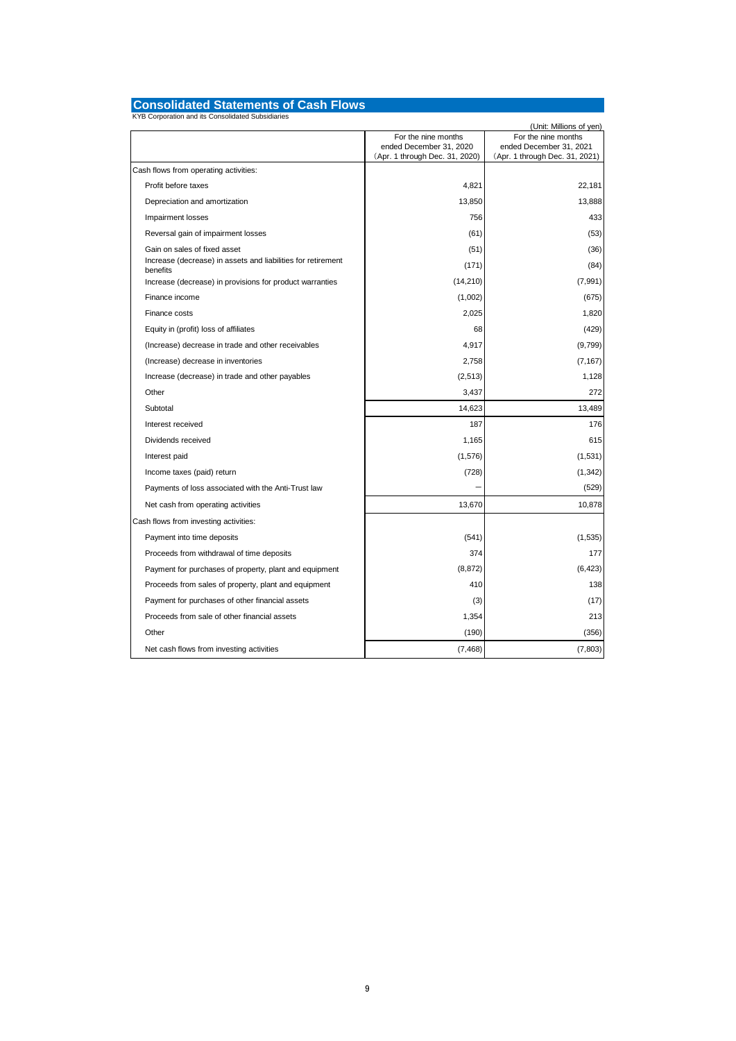# **Consolidated Statements of Cash Flows** KYB Corporation and its Consolidated Subsidiaries

| KYB Corporation and its Consolidated Subsidiaries                        |                                                                                  | (Unit: Millions of yen)                                                          |
|--------------------------------------------------------------------------|----------------------------------------------------------------------------------|----------------------------------------------------------------------------------|
|                                                                          | For the nine months<br>ended December 31, 2020<br>(Apr. 1 through Dec. 31, 2020) | For the nine months<br>ended December 31, 2021<br>(Apr. 1 through Dec. 31, 2021) |
| Cash flows from operating activities:                                    |                                                                                  |                                                                                  |
| Profit before taxes                                                      | 4,821                                                                            | 22,181                                                                           |
| Depreciation and amortization                                            | 13,850                                                                           | 13,888                                                                           |
| Impairment losses                                                        | 756                                                                              | 433                                                                              |
| Reversal gain of impairment losses                                       | (61)                                                                             | (53)                                                                             |
| Gain on sales of fixed asset                                             | (51)                                                                             | (36)                                                                             |
| Increase (decrease) in assets and liabilities for retirement<br>benefits | (171)                                                                            | (84)                                                                             |
| Increase (decrease) in provisions for product warranties                 | (14, 210)                                                                        | (7,991)                                                                          |
| Finance income                                                           | (1,002)                                                                          | (675)                                                                            |
| Finance costs                                                            | 2,025                                                                            | 1,820                                                                            |
| Equity in (profit) loss of affiliates                                    | 68                                                                               | (429)                                                                            |
| (Increase) decrease in trade and other receivables                       | 4,917                                                                            | (9,799)                                                                          |
| (Increase) decrease in inventories                                       | 2,758                                                                            | (7, 167)                                                                         |
| Increase (decrease) in trade and other payables                          | (2,513)                                                                          | 1,128                                                                            |
| Other                                                                    | 3,437                                                                            | 272                                                                              |
| Subtotal                                                                 | 14,623                                                                           | 13,489                                                                           |
| Interest received                                                        | 187                                                                              | 176                                                                              |
| Dividends received                                                       | 1,165                                                                            | 615                                                                              |
| Interest paid                                                            | (1,576)                                                                          | (1,531)                                                                          |
| Income taxes (paid) return                                               | (728)                                                                            | (1, 342)                                                                         |
| Payments of loss associated with the Anti-Trust law                      |                                                                                  | (529)                                                                            |
| Net cash from operating activities                                       | 13,670                                                                           | 10,878                                                                           |
| Cash flows from investing activities:                                    |                                                                                  |                                                                                  |
| Payment into time deposits                                               | (541)                                                                            | (1,535)                                                                          |
| Proceeds from withdrawal of time deposits                                | 374                                                                              | 177                                                                              |
| Payment for purchases of property, plant and equipment                   | (8, 872)                                                                         | (6, 423)                                                                         |
| Proceeds from sales of property, plant and equipment                     | 410                                                                              | 138                                                                              |
| Payment for purchases of other financial assets                          | (3)                                                                              | (17)                                                                             |
| Proceeds from sale of other financial assets                             | 1,354                                                                            | 213                                                                              |
| Other                                                                    | (190)                                                                            | (356)                                                                            |
| Net cash flows from investing activities                                 | (7, 468)                                                                         | (7, 803)                                                                         |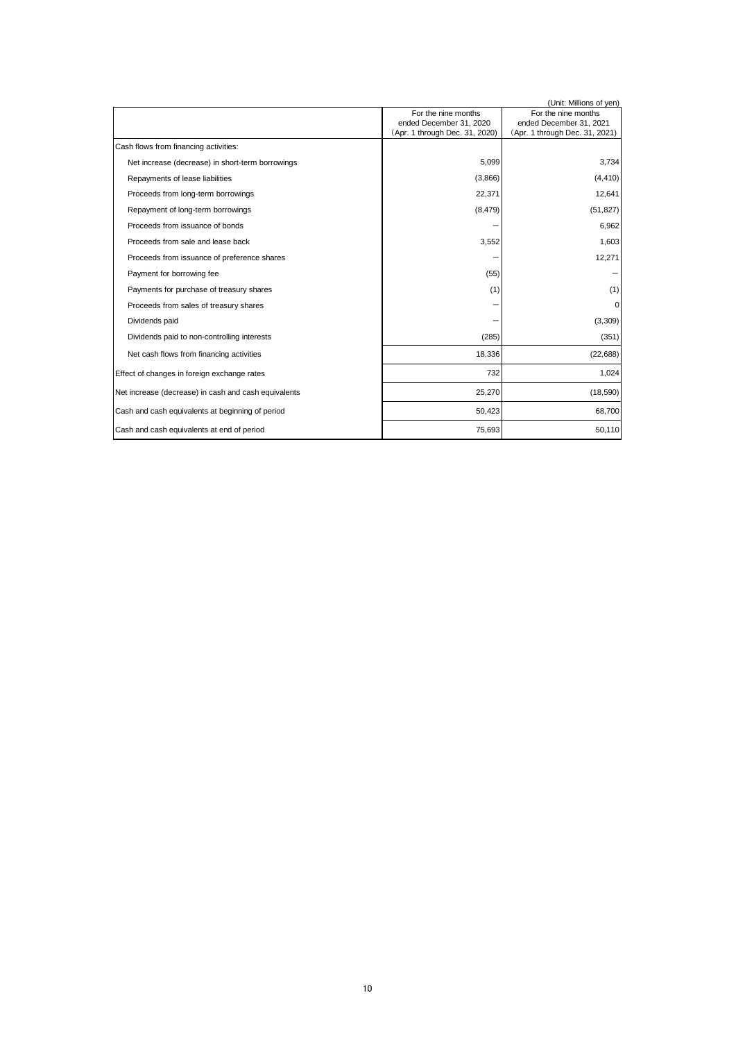|                                                      |                                                           | (Unit: Millions of yen)                                   |
|------------------------------------------------------|-----------------------------------------------------------|-----------------------------------------------------------|
|                                                      | For the nine months                                       | For the nine months                                       |
|                                                      | ended December 31, 2020<br>(Apr. 1 through Dec. 31, 2020) | ended December 31, 2021<br>(Apr. 1 through Dec. 31, 2021) |
| Cash flows from financing activities:                |                                                           |                                                           |
|                                                      |                                                           |                                                           |
| Net increase (decrease) in short-term borrowings     | 5,099                                                     | 3,734                                                     |
| Repayments of lease liabilities                      | (3,866)                                                   | (4, 410)                                                  |
| Proceeds from long-term borrowings                   | 22,371                                                    | 12,641                                                    |
| Repayment of long-term borrowings                    | (8, 479)                                                  | (51, 827)                                                 |
| Proceeds from issuance of bonds                      |                                                           | 6,962                                                     |
| Proceeds from sale and lease back                    | 3,552                                                     | 1,603                                                     |
| Proceeds from issuance of preference shares          |                                                           | 12,271                                                    |
| Payment for borrowing fee                            | (55)                                                      |                                                           |
| Payments for purchase of treasury shares             | (1)                                                       | (1)                                                       |
| Proceeds from sales of treasury shares               |                                                           | 0                                                         |
| Dividends paid                                       |                                                           | (3,309)                                                   |
| Dividends paid to non-controlling interests          | (285)                                                     | (351)                                                     |
| Net cash flows from financing activities             | 18,336                                                    | (22, 688)                                                 |
| Effect of changes in foreign exchange rates          | 732                                                       | 1,024                                                     |
| Net increase (decrease) in cash and cash equivalents | 25,270                                                    | (18, 590)                                                 |
| Cash and cash equivalents at beginning of period     | 50,423                                                    | 68,700                                                    |
| Cash and cash equivalents at end of period           | 75,693                                                    | 50,110                                                    |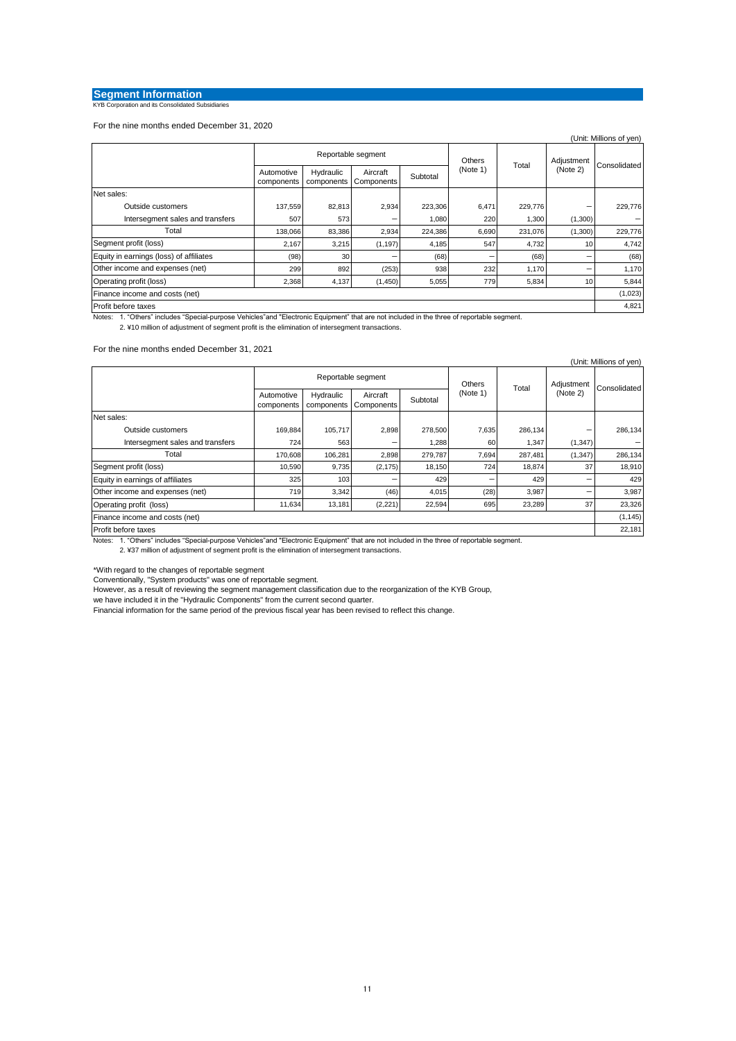## **Segment Information**<br> **KYB Corporation and its Consolidated Subsidiaries**

For the nine months ended December 31, 2020

|                                         |                          |                         |                        |          |          |         |                 | (Unit: Millions of yen) |
|-----------------------------------------|--------------------------|-------------------------|------------------------|----------|----------|---------|-----------------|-------------------------|
|                                         |                          | Reportable segment      |                        |          |          | Total   | Adjustment      |                         |
|                                         | Automotive<br>components | Hydraulic<br>components | Aircraft<br>Components | Subtotal | (Note 1) |         | (Note 2)        | Consolidated            |
| Net sales:                              |                          |                         |                        |          |          |         |                 |                         |
| Outside customers                       | 137,559                  | 82,813                  | 2,934                  | 223,306  | 6,471    | 229,776 |                 | 229,776                 |
| Intersegment sales and transfers        | 507                      | 573                     |                        | 1,080    | 220      | 1,300   | (1,300)         |                         |
| Total                                   | 138,066                  | 83,386                  | 2,934                  | 224,386  | 6,690    | 231,076 | (1,300)         | 229,776                 |
| Segment profit (loss)                   | 2,167                    | 3,215                   | (1, 197)               | 4,185    | 547      | 4,732   | 10 <sup>1</sup> | 4,742                   |
| Equity in earnings (loss) of affiliates | (98)                     | 30                      | -                      | (68)     | -        | (68)    | -               | (68)                    |
| Other income and expenses (net)         | 299                      | 892                     | (253)                  | 938      | 232      | 1,170   |                 | 1,170                   |
| Operating profit (loss)                 | 2,368                    | 4,137                   | (1,450)                | 5,055    | 779      | 5,834   | 10              | 5,844                   |
| Finance income and costs (net)          |                          |                         |                        |          |          |         |                 | (1,023)                 |
| Profit before taxes                     |                          |                         |                        |          |          |         |                 |                         |

Notes: 1. "Others" includes "Special-purpose Vehicles"and "Electronic Equipment" that are not included in the three of reportable segment.

2. ¥10 million of adjustment of segment profit is the elimination of intersegment transactions.

#### For the nine months ended December 31, 2021

|                                  |                          |                         |                        |          |          |         |            | (Unit: Millions of yen) |
|----------------------------------|--------------------------|-------------------------|------------------------|----------|----------|---------|------------|-------------------------|
|                                  |                          |                         | Reportable segment     |          | Others   | Total   | Adjustment |                         |
|                                  | Automotive<br>components | Hydraulic<br>components | Aircraft<br>Components | Subtotal | (Note 1) |         | (Note 2)   | Consolidated            |
| Net sales:                       |                          |                         |                        |          |          |         |            |                         |
| Outside customers                | 169,884                  | 105,717                 | 2,898                  | 278,500  | 7,635    | 286,134 | -          | 286,134                 |
| Intersegment sales and transfers | 724                      | 563                     |                        | 1,288    | 60       | 1,347   | (1, 347)   |                         |
| Total                            | 170,608                  | 106,281                 | 2,898                  | 279,787  | 7,694    | 287,481 | (1, 347)   | 286,134                 |
| Segment profit (loss)            | 10,590                   | 9,735                   | (2, 175)               | 18,150   | 724      | 18,874  | 37         | 18,910                  |
| Equity in earnings of affiliates | 325                      | 103                     |                        | 429      |          | 429     |            | 429                     |
| Other income and expenses (net)  | 719                      | 3,342                   | (46)                   | 4,015    | (28)     | 3,987   |            | 3,987                   |
| Operating profit (loss)          | 11,634                   | 13,181                  | (2,221)                | 22,594   | 695      | 23,289  | 37         | 23,326                  |
| Finance income and costs (net)   |                          |                         |                        |          |          |         |            | (1, 145)                |
| Profit before taxes              |                          |                         |                        |          |          |         |            | 22,181                  |

Notes: 1. "Others" includes "Special-purpose Vehicles"and "Electronic Equipment" that are not included in the three of reportable segment.

2. ¥37 million of adjustment of segment profit is the elimination of intersegment transactions.

\*With regard to the changes of reportable segment

Conventionally, "System products" was one of reportable segment. However, as a result of reviewing the segment management classification due to the reorganization of the KYB Group,

we have included it in the "Hydraulic Components" from the current second quarter.

Financial information for the same period of the previous fiscal year has been revised to reflect this change.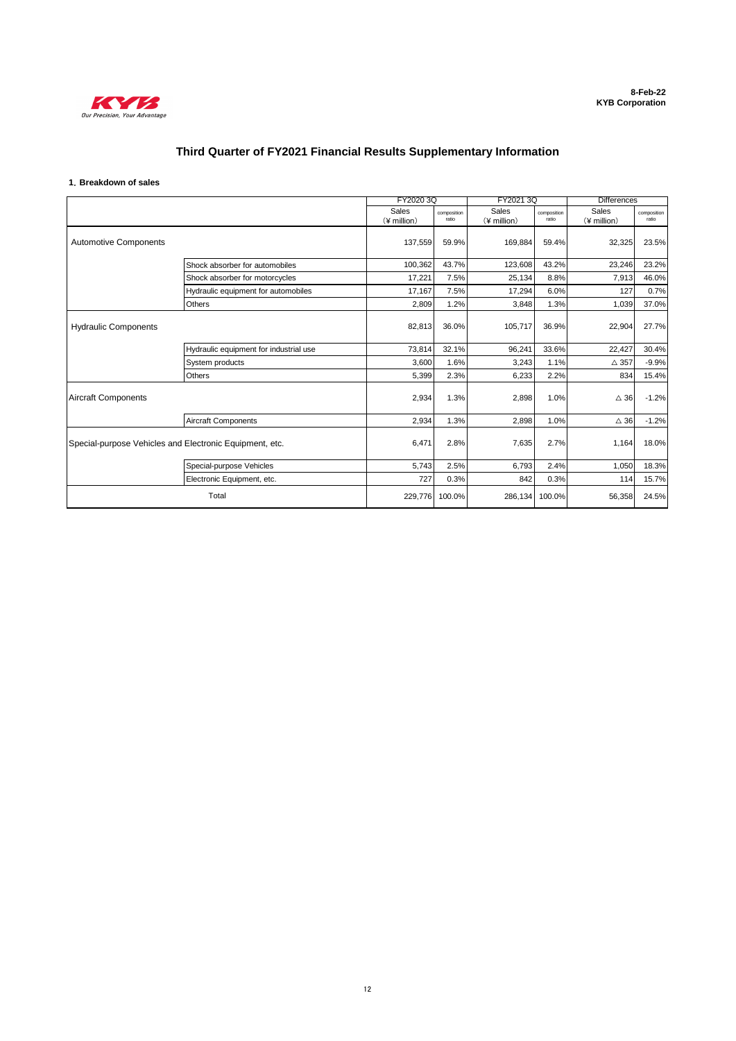

## **Third Quarter of FY2021 Financial Results Supplementary Information**

### **1**.**Breakdown of sales**

|                                                         |                                        |             | FY2020 3Q   | FY2021 3Q    |             | <b>Differences</b> |             |
|---------------------------------------------------------|----------------------------------------|-------------|-------------|--------------|-------------|--------------------|-------------|
|                                                         |                                        | Sales       | composition | <b>Sales</b> | composition | Sales              | composition |
|                                                         |                                        | (¥ million) | ratio       | (¥ million)  | ratio       | (¥ million)        | ratio       |
| <b>Automotive Components</b>                            |                                        | 137,559     | 59.9%       | 169,884      | 59.4%       | 32,325             | 23.5%       |
|                                                         | Shock absorber for automobiles         | 100,362     | 43.7%       | 123,608      | 43.2%       | 23,246             | 23.2%       |
|                                                         | Shock absorber for motorcycles         | 17,221      | 7.5%        | 25,134       | 8.8%        | 7,913              | 46.0%       |
|                                                         | Hydraulic equipment for automobiles    | 17.167      | 7.5%        | 17,294       | 6.0%        | 127                | 0.7%        |
|                                                         | Others                                 | 2,809       | 1.2%        | 3,848        | 1.3%        | 1,039              | 37.0%       |
| <b>Hydraulic Components</b>                             |                                        | 82,813      | 36.0%       | 105,717      | 36.9%       | 22,904             | 27.7%       |
|                                                         | Hydraulic equipment for industrial use | 73,814      | 32.1%       | 96,241       | 33.6%       | 22,427             | 30.4%       |
|                                                         | System products                        | 3,600       | 1.6%        | 3,243        | 1.1%        | $\triangle$ 357    | $-9.9%$     |
|                                                         | Others                                 | 5,399       | 2.3%        | 6,233        | 2.2%        | 834                | 15.4%       |
| <b>Aircraft Components</b>                              |                                        | 2,934       | 1.3%        | 2,898        | 1.0%        | $\triangle$ 36     | $-1.2%$     |
|                                                         | <b>Aircraft Components</b>             | 2,934       | 1.3%        | 2,898        | 1.0%        | $\triangle$ 36     | $-1.2%$     |
| Special-purpose Vehicles and Electronic Equipment, etc. |                                        | 6,471       | 2.8%        | 7,635        | 2.7%        | 1,164              | 18.0%       |
|                                                         | Special-purpose Vehicles               | 5,743       | 2.5%        | 6,793        | 2.4%        | 1,050              | 18.3%       |
|                                                         | Electronic Equipment, etc.             | 727         | 0.3%        | 842          | 0.3%        | 114                | 15.7%       |
|                                                         | Total                                  | 229,776     | 100.0%      | 286,134      | 100.0%      | 56,358             | 24.5%       |